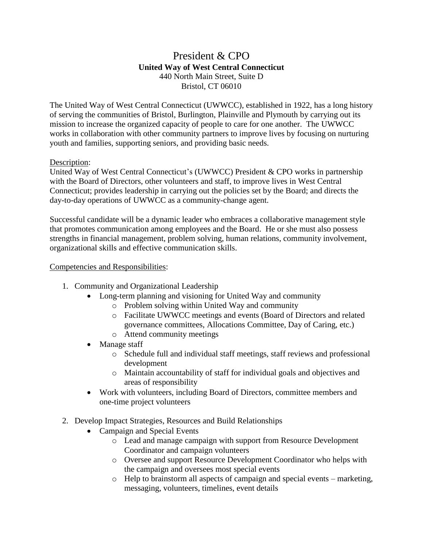## President & CPO **United Way of West Central Connecticut** 440 North Main Street, Suite D Bristol, CT 06010

The United Way of West Central Connecticut (UWWCC), established in 1922, has a long history of serving the communities of Bristol, Burlington, Plainville and Plymouth by carrying out its mission to increase the organized capacity of people to care for one another. The UWWCC works in collaboration with other community partners to improve lives by focusing on nurturing youth and families, supporting seniors, and providing basic needs.

## Description:

United Way of West Central Connecticut's (UWWCC) President & CPO works in partnership with the Board of Directors, other volunteers and staff, to improve lives in West Central Connecticut; provides leadership in carrying out the policies set by the Board; and directs the day-to-day operations of UWWCC as a community-change agent.

Successful candidate will be a dynamic leader who embraces a collaborative management style that promotes communication among employees and the Board. He or she must also possess strengths in financial management, problem solving, human relations, community involvement, organizational skills and effective communication skills.

## Competencies and Responsibilities:

- 1. Community and Organizational Leadership
	- Long-term planning and visioning for United Way and community
		- o Problem solving within United Way and community
		- o Facilitate UWWCC meetings and events (Board of Directors and related governance committees, Allocations Committee, Day of Caring, etc.)
		- o Attend community meetings
	- Manage staff
		- o Schedule full and individual staff meetings, staff reviews and professional development
		- o Maintain accountability of staff for individual goals and objectives and areas of responsibility
	- Work with volunteers, including Board of Directors, committee members and one-time project volunteers
- 2. Develop Impact Strategies, Resources and Build Relationships
	- Campaign and Special Events
		- o Lead and manage campaign with support from Resource Development Coordinator and campaign volunteers
		- o Oversee and support Resource Development Coordinator who helps with the campaign and oversees most special events
		- o Help to brainstorm all aspects of campaign and special events marketing, messaging, volunteers, timelines, event details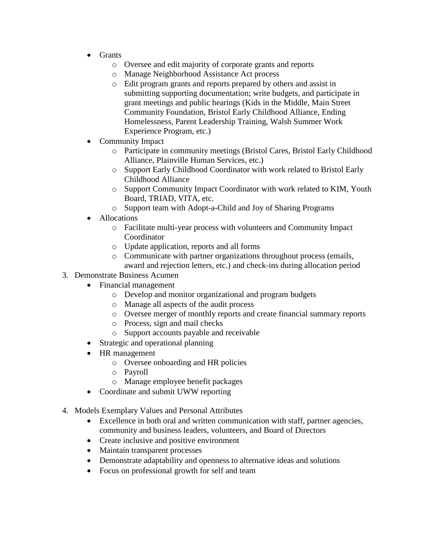- Grants
	- o Oversee and edit majority of corporate grants and reports
	- o Manage Neighborhood Assistance Act process
	- o Edit program grants and reports prepared by others and assist in submitting supporting documentation; write budgets, and participate in grant meetings and public hearings (Kids in the Middle, Main Street Community Foundation, Bristol Early Childhood Alliance, Ending Homelessness, Parent Leadership Training, Walsh Summer Work Experience Program, etc.)
- Community Impact
	- o Participate in community meetings (Bristol Cares, Bristol Early Childhood Alliance, Plainville Human Services, etc.)
	- o Support Early Childhood Coordinator with work related to Bristol Early Childhood Alliance
	- o Support Community Impact Coordinator with work related to KIM, Youth Board, TRIAD, VITA, etc.
	- o Support team with Adopt-a-Child and Joy of Sharing Programs
- Allocations
	- o Facilitate multi-year process with volunteers and Community Impact Coordinator
	- o Update application, reports and all forms
	- o Communicate with partner organizations throughout process (emails, award and rejection letters, etc.) and check-ins during allocation period
- 3. Demonstrate Business Acumen
	- Financial management
		- o Develop and monitor organizational and program budgets
		- o Manage all aspects of the audit process
		- o Oversee merger of monthly reports and create financial summary reports
		- o Process, sign and mail checks
		- o Support accounts payable and receivable
		- Strategic and operational planning
	- HR management
		- o Oversee onboarding and HR policies
		- o Payroll
		- o Manage employee benefit packages
	- Coordinate and submit UWW reporting
- 4. Models Exemplary Values and Personal Attributes
	- Excellence in both oral and written communication with staff, partner agencies, community and business leaders, volunteers, and Board of Directors
	- Create inclusive and positive environment
	- Maintain transparent processes
	- Demonstrate adaptability and openness to alternative ideas and solutions
	- Focus on professional growth for self and team